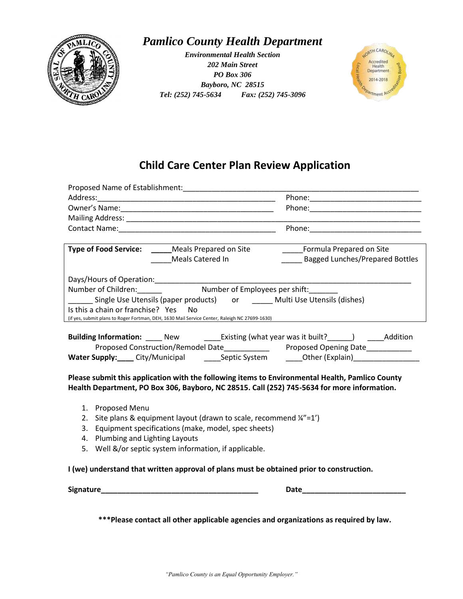

## *Pamlico County Health Department*

*Environmental Health Section 202 Main Street PO Box 306 Bayboro, NC 28515 Tel: (252) 745-5634 Fax: (252) 745-3096*



## **Child Care Center Plan Review Application**

|                                                                                               | Proposed Name of Establishment:                     |                                                                                                     |  |  |
|-----------------------------------------------------------------------------------------------|-----------------------------------------------------|-----------------------------------------------------------------------------------------------------|--|--|
|                                                                                               |                                                     |                                                                                                     |  |  |
|                                                                                               |                                                     |                                                                                                     |  |  |
|                                                                                               |                                                     |                                                                                                     |  |  |
|                                                                                               |                                                     |                                                                                                     |  |  |
|                                                                                               |                                                     |                                                                                                     |  |  |
|                                                                                               | <b>Type of Food Service:</b> Meals Prepared on Site | Formula Prepared on Site                                                                            |  |  |
|                                                                                               | Meals Catered In                                    | <b>Bagged Lunches/Prepared Bottles</b>                                                              |  |  |
|                                                                                               |                                                     |                                                                                                     |  |  |
|                                                                                               |                                                     |                                                                                                     |  |  |
| Number of Children: Mumber of Employees per shift:                                            |                                                     |                                                                                                     |  |  |
| ______ Single Use Utensils (paper products) or ______ Multi Use Utensils (dishes)             |                                                     |                                                                                                     |  |  |
| Is this a chain or franchise? Yes No                                                          |                                                     |                                                                                                     |  |  |
| (if yes, submit plans to Roger Fortman, DEH, 1630 Mail Service Center, Raleigh NC 27699-1630) |                                                     |                                                                                                     |  |  |
|                                                                                               |                                                     |                                                                                                     |  |  |
|                                                                                               |                                                     | <b>Building Information:</b> New Existing (what year was it built? ) Addition                       |  |  |
|                                                                                               |                                                     | Proposed Construction/Remodel Date______________ Proposed Opening Date__________                    |  |  |
|                                                                                               |                                                     | Water Supply:____ City/Municipal ________ Septic System _______Other (Explain)_____________________ |  |  |

**Please submit this application with the following items to Environmental Health, Pamlico County Health Department, PO Box 306, Bayboro, NC 28515. Call (252) 745-5634 for more information.**

- 1. Proposed Menu
- 2. Site plans & equipment layout (drawn to scale, recommend  $\frac{1}{4}$  =1')
- 3. Equipment specifications (make, model, spec sheets)
- 4. Plumbing and Lighting Layouts
- 5. Well &/or septic system information, if applicable.

**I (we) understand that written approval of plans must be obtained prior to construction.**

Signature **Date** 

**\*\*\*Please contact all other applicable agencies and organizations as required by law.**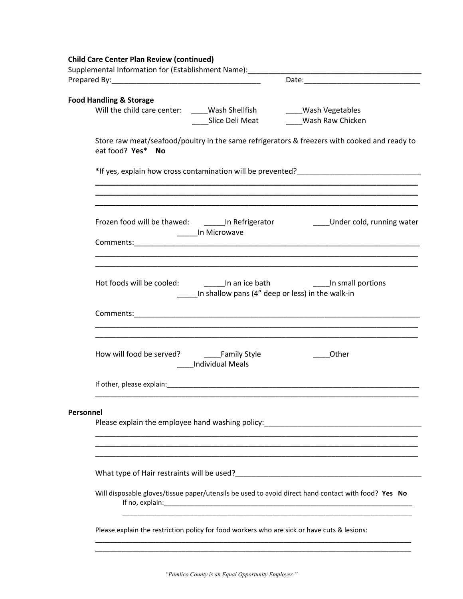|  | <b>Child Care Center Plan Review (continued)</b> |  |
|--|--------------------------------------------------|--|
|  |                                                  |  |

| Supplemental Information for (Establishment Name):                     |                                                                                                     |                                                                                                                                                                              |  |  |  |
|------------------------------------------------------------------------|-----------------------------------------------------------------------------------------------------|------------------------------------------------------------------------------------------------------------------------------------------------------------------------------|--|--|--|
|                                                                        |                                                                                                     |                                                                                                                                                                              |  |  |  |
|                                                                        |                                                                                                     |                                                                                                                                                                              |  |  |  |
| <b>Food Handling &amp; Storage</b>                                     |                                                                                                     |                                                                                                                                                                              |  |  |  |
| Will the child care center: _____Wash Shellfish _______Wash Vegetables |                                                                                                     |                                                                                                                                                                              |  |  |  |
|                                                                        |                                                                                                     | Slice Deli Meat Mash Raw Chicken                                                                                                                                             |  |  |  |
| eat food? Yes* No                                                      |                                                                                                     | Store raw meat/seafood/poultry in the same refrigerators & freezers with cooked and ready to                                                                                 |  |  |  |
|                                                                        |                                                                                                     | *If yes, explain how cross contamination will be prevented?<br>The versus management of the management and the versus management of the prevent of the presence of the state |  |  |  |
|                                                                        |                                                                                                     |                                                                                                                                                                              |  |  |  |
|                                                                        | _______In Microwave                                                                                 | Frozen food will be thawed: _________ In Refrigerator _______________Under cold, running water                                                                               |  |  |  |
|                                                                        |                                                                                                     | <u> 1989 - Johann Stoff, amerikansk politiker (d. 1989)</u>                                                                                                                  |  |  |  |
|                                                                        | In shallow pans (4" deep or less) in the walk-in                                                    |                                                                                                                                                                              |  |  |  |
|                                                                        |                                                                                                     | <u> 1989 - Johann Stoff, amerikansk politiker (d. 1989)</u>                                                                                                                  |  |  |  |
|                                                                        | Individual Meals                                                                                    | Other                                                                                                                                                                        |  |  |  |
|                                                                        |                                                                                                     |                                                                                                                                                                              |  |  |  |
|                                                                        |                                                                                                     |                                                                                                                                                                              |  |  |  |
| Personnel                                                              |                                                                                                     | Please explain the employee hand washing policy:_________________________________                                                                                            |  |  |  |
|                                                                        |                                                                                                     |                                                                                                                                                                              |  |  |  |
|                                                                        | Will disposable gloves/tissue paper/utensils be used to avoid direct hand contact with food? Yes No |                                                                                                                                                                              |  |  |  |
|                                                                        | Please explain the restriction policy for food workers who are sick or have cuts & lesions:         |                                                                                                                                                                              |  |  |  |
|                                                                        |                                                                                                     |                                                                                                                                                                              |  |  |  |